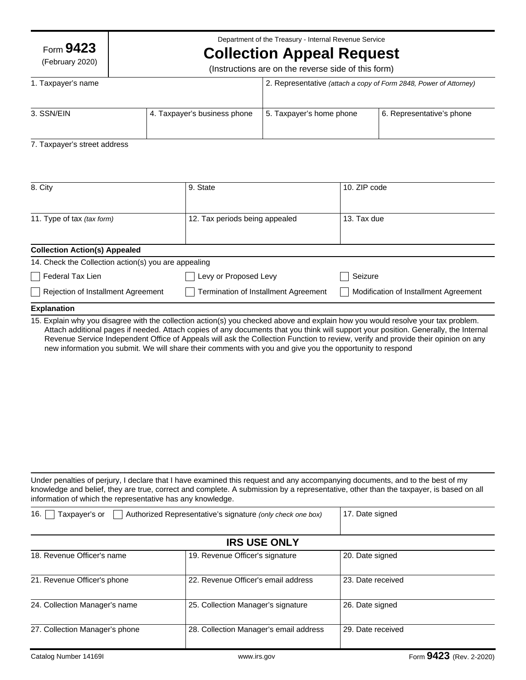Form **9423**

(February 2020)

Department of the Treasury - Internal Revenue Service

# **Collection Appeal Request**

(Instructions are on the reverse side of this form)

| 1. Taxpayer's name |                              | 2. Representative (attach a copy of Form 2848, Power of Attorney) |                           |
|--------------------|------------------------------|-------------------------------------------------------------------|---------------------------|
| 3. SSN/EIN         | 4. Taxpayer's business phone | 5. Taxpayer's home phone                                          | 6. Representative's phone |

### 7. Taxpayer's street address

| 8. City                                              | 9. State                             | 10. ZIP code                          |
|------------------------------------------------------|--------------------------------------|---------------------------------------|
|                                                      |                                      |                                       |
| 11. Type of tax (tax form)                           | 12. Tax periods being appealed       | 13. Tax due                           |
|                                                      |                                      |                                       |
| <b>Collection Action(s) Appealed</b>                 |                                      |                                       |
| 14. Check the Collection action(s) you are appealing |                                      |                                       |
| Federal Tax Lien                                     | Levy or Proposed Levy                | Seizure                               |
| Rejection of Installment Agreement                   | Termination of Installment Agreement | Modification of Installment Agreement |
| <b>Explanation</b>                                   |                                      |                                       |

15. Explain why you disagree with the collection action(s) you checked above and explain how you would resolve your tax problem. Attach additional pages if needed. Attach copies of any documents that you think will support your position. Generally, the Internal Revenue Service Independent Office of Appeals will ask the Collection Function to review, verify and provide their opinion on any new information you submit. We will share their comments with you and give you the opportunity to respond

Under penalties of perjury, I declare that I have examined this request and any accompanying documents, and to the best of my knowledge and belief, they are true, correct and complete. A submission by a representative, other than the taxpayer, is based on all information of which the representative has any knowledge.

| 16.<br>Taxpayer's or<br>Authorized Representative's signature (only check one box) |                                        | 17. Date signed   |  |  |
|------------------------------------------------------------------------------------|----------------------------------------|-------------------|--|--|
| <b>IRS USE ONLY</b>                                                                |                                        |                   |  |  |
| 18. Revenue Officer's name                                                         | 19. Revenue Officer's signature        | 20. Date signed   |  |  |
| 21. Revenue Officer's phone                                                        | 22. Revenue Officer's email address    | 23. Date received |  |  |
| 24. Collection Manager's name                                                      | 25. Collection Manager's signature     | 26. Date signed   |  |  |
| 27. Collection Manager's phone                                                     | 28. Collection Manager's email address | 29. Date received |  |  |